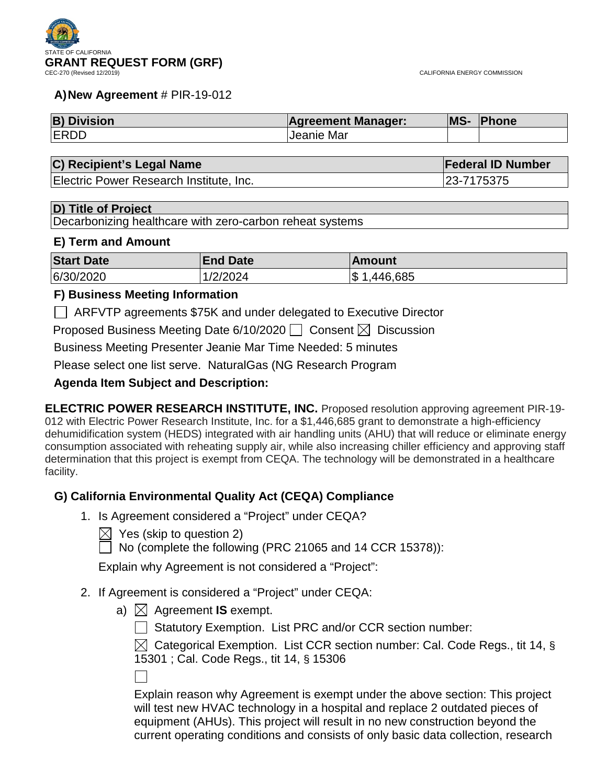

#### **A)New Agreement** # PIR-19-012

| <b>B) Division</b> | <b>Agreement Manager:</b> | MS- | <b>Phone</b> |
|--------------------|---------------------------|-----|--------------|
| <b>ERDD</b>        | <b>Jeanie Mar</b>         |     |              |

### **C) Recipient's Legal Name Federal ID Number**

Electric Power Research Institute, Inc. 23-7175375

#### **D) Title of Project**

Decarbonizing healthcare with zero-carbon reheat systems

#### **E) Term and Amount**

| <b>Start Date</b> | <b>End Date</b> | ⊺Amount         |
|-------------------|-----------------|-----------------|
| 6/30/2020         | 1/2/2024        | ,446,685<br>1\$ |

#### **F) Business Meeting Information**

ARFVTP agreements \$75K and under delegated to Executive Director

Proposed Business Meeting Date 6/10/2020  $\Box$  Consent  $\boxtimes$  Discussion

Business Meeting Presenter Jeanie Mar Time Needed: 5 minutes

Please select one list serve. NaturalGas (NG Research Program

### **Agenda Item Subject and Description:**

**ELECTRIC POWER RESEARCH INSTITUTE, INC.** Proposed resolution approving agreement PIR-19- 012 with Electric Power Research Institute, Inc. for a \$1,446,685 grant to demonstrate a high-efficiency dehumidification system (HEDS) integrated with air handling units (AHU) that will reduce or eliminate energy consumption associated with reheating supply air, while also increasing chiller efficiency and approving staff determination that this project is exempt from CEQA. The technology will be demonstrated in a healthcare facility.

### **G) California Environmental Quality Act (CEQA) Compliance**

- 1. Is Agreement considered a "Project" under CEQA?
	- $\boxtimes$  Yes (skip to question 2)

 $\Box$  No (complete the following (PRC 21065 and 14 CCR 15378)):

Explain why Agreement is not considered a "Project":

### 2. If Agreement is considered a "Project" under CEQA:

a)  $\boxtimes$  Agreement **IS** exempt.

Statutory Exemption. List PRC and/or CCR section number:

 $\boxtimes$  Categorical Exemption. List CCR section number: Cal. Code Regs., tit 14, § 15301 ; Cal. Code Regs., tit 14, § 15306

Explain reason why Agreement is exempt under the above section: This project will test new HVAC technology in a hospital and replace 2 outdated pieces of equipment (AHUs). This project will result in no new construction beyond the current operating conditions and consists of only basic data collection, research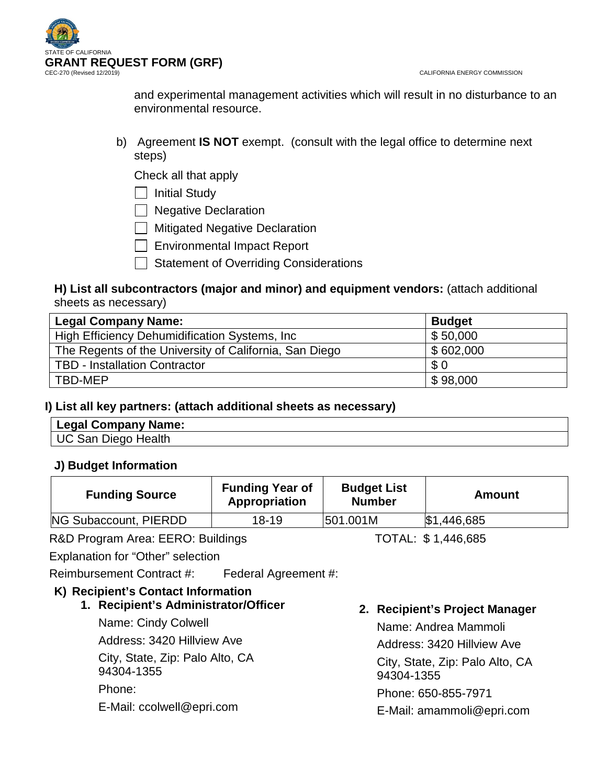

and experimental management activities which will result in no disturbance to an environmental resource.

b) Agreement **IS NOT** exempt. (consult with the legal office to determine next steps)

Check all that apply

 $\Box$  Initial Study

□ Negative Declaration

**Mitigated Negative Declaration** 

Environmental Impact Report

Statement of Overriding Considerations

## **H) List all subcontractors (major and minor) and equipment vendors:** (attach additional sheets as necessary)

| <b>Legal Company Name:</b>                             | <b>Budget</b> |
|--------------------------------------------------------|---------------|
| High Efficiency Dehumidification Systems, Inc.         | \$50,000      |
| The Regents of the University of California, San Diego | \$602,000     |
| <b>TBD - Installation Contractor</b>                   | \$0           |
| TBD-MEP                                                | \$98,000      |

## **I) List all key partners: (attach additional sheets as necessary)**

| ' Legal Company Name: |  |
|-----------------------|--|
| UC San Diego Health   |  |

## **J) Budget Information**

| <b>Funding Source</b> | <b>Funding Year of</b><br>Appropriation | <b>Budget List</b><br><b>Number</b> | Amount      |
|-----------------------|-----------------------------------------|-------------------------------------|-------------|
| NG Subaccount, PIERDD | $18 - 19$                               | 501.001M                            | \$1,446,685 |

R&D Program Area: EERO: Buildings TOTAL: \$1,446,685

Explanation for "Other" selection

Reimbursement Contract #: Federal Agreement #:

# **K) Recipient's Contact Information**

**1. Recipient's Administrator/Officer**

Name: Cindy Colwell Address: 3420 Hillview Ave City, State, Zip: Palo Alto, CA 94304-1355 Phone: E-Mail: ccolwell@epri.com

**2. Recipient's Project Manager**

Name: Andrea Mammoli Address: 3420 Hillview Ave City, State, Zip: Palo Alto, CA 94304-1355 Phone: 650-855-7971

E-Mail: amammoli@epri.com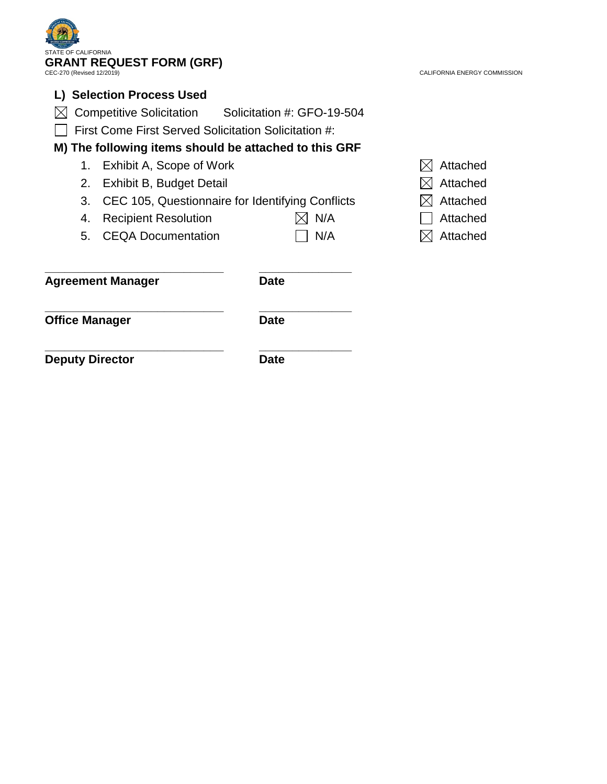| <b>STATE OF CALIFORNIA</b>                             | <b>GRANT REQUEST FORM (GRF)</b>                       |                              |          |
|--------------------------------------------------------|-------------------------------------------------------|------------------------------|----------|
| CEC-270 (Revised 12/2019)                              |                                                       | CALIFORNIA ENERGY COMMISSION |          |
|                                                        | <b>Selection Process Used</b>                         |                              |          |
|                                                        | Competitive Solicitation Solicitation #: GFO-19-504   |                              |          |
|                                                        | First Come First Served Solicitation Solicitation #:  |                              |          |
|                                                        | M) The following items should be attached to this GRF |                              |          |
| 1.                                                     | Exhibit A, Scope of Work                              |                              | Attached |
| 2.<br>Exhibit B, Budget Detail                         |                                                       |                              | Attached |
| 3.<br>CEC 105, Questionnaire for Identifying Conflicts |                                                       | Attached                     |          |
| 4.                                                     | <b>Recipient Resolution</b>                           | N/A                          | Attached |
| 5.                                                     | <b>CEQA Documentation</b>                             | N/A                          | Attached |
|                                                        | <b>Agreement Manager</b>                              | <b>Date</b>                  |          |
| <b>Office Manager</b>                                  |                                                       | <b>Date</b>                  |          |
| <b>Deputy Director</b>                                 |                                                       | <b>Date</b>                  |          |

 $\mathbf{z}$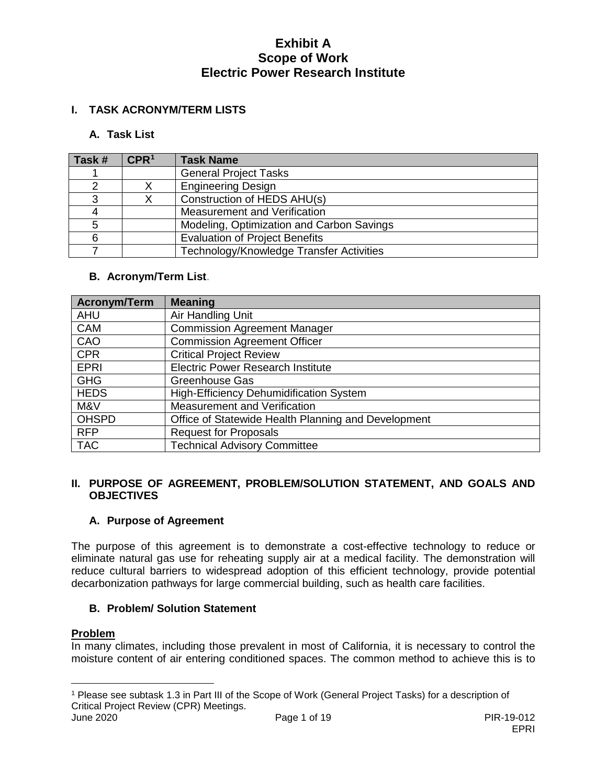## **I. TASK ACRONYM/TERM LISTS**

### **A. Task List**

| Task # | CPR <sup>1</sup> | <b>Task Name</b>                          |
|--------|------------------|-------------------------------------------|
|        |                  | <b>General Project Tasks</b>              |
|        |                  | <b>Engineering Design</b>                 |
|        |                  | Construction of HEDS AHU(s)               |
|        |                  | Measurement and Verification              |
|        |                  | Modeling, Optimization and Carbon Savings |
| ิค     |                  | <b>Evaluation of Project Benefits</b>     |
|        |                  | Technology/Knowledge Transfer Activities  |

## **B. Acronym/Term List**.

| <b>Acronym/Term</b> | <b>Meaning</b>                                      |
|---------------------|-----------------------------------------------------|
| <b>AHU</b>          | Air Handling Unit                                   |
| CAM                 | <b>Commission Agreement Manager</b>                 |
| CAO                 | <b>Commission Agreement Officer</b>                 |
| <b>CPR</b>          | <b>Critical Project Review</b>                      |
| <b>EPRI</b>         | <b>Electric Power Research Institute</b>            |
| <b>GHG</b>          | <b>Greenhouse Gas</b>                               |
| <b>HEDS</b>         | High-Efficiency Dehumidification System             |
| M&V                 | Measurement and Verification                        |
| <b>OHSPD</b>        | Office of Statewide Health Planning and Development |
| <b>RFP</b>          | <b>Request for Proposals</b>                        |
| <b>TAC</b>          | <b>Technical Advisory Committee</b>                 |

### **II. PURPOSE OF AGREEMENT, PROBLEM/SOLUTION STATEMENT, AND GOALS AND OBJECTIVES**

## **A. Purpose of Agreement**

The purpose of this agreement is to demonstrate a cost-effective technology to reduce or eliminate natural gas use for reheating supply air at a medical facility. The demonstration will reduce cultural barriers to widespread adoption of this efficient technology, provide potential decarbonization pathways for large commercial building, such as health care facilities.

### **B. Problem/ Solution Statement**

#### **Problem**

In many climates, including those prevalent in most of California, it is necessary to control the moisture content of air entering conditioned spaces. The common method to achieve this is to

<span id="page-3-0"></span> $\overline{a}$ <sup>1</sup> Please see subtask 1.3 in Part III of the Scope of Work (General Project Tasks) for a description of Critical Project Review (CPR) Meetings.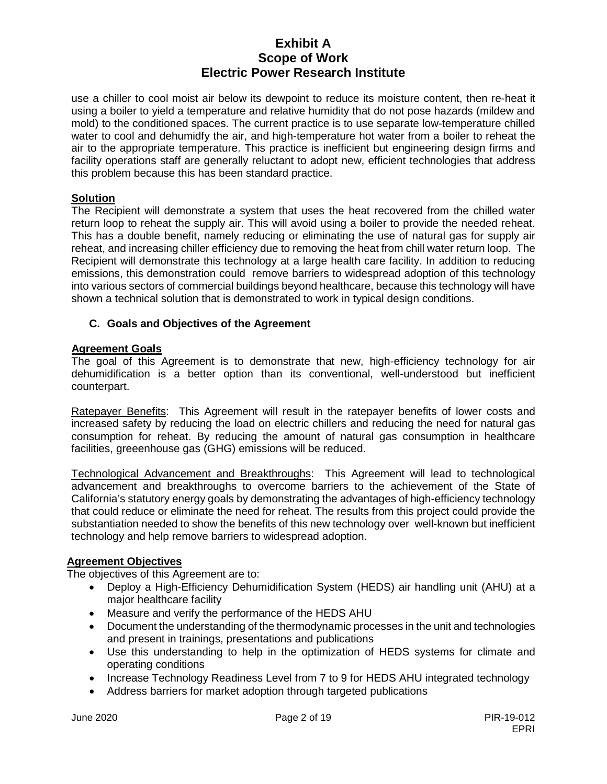use a chiller to cool moist air below its dewpoint to reduce its moisture content, then re-heat it using a boiler to yield a temperature and relative humidity that do not pose hazards (mildew and mold) to the conditioned spaces. The current practice is to use separate low-temperature chilled water to cool and dehumidfy the air, and high-temperature hot water from a boiler to reheat the air to the appropriate temperature. This practice is inefficient but engineering design firms and facility operations staff are generally reluctant to adopt new, efficient technologies that address this problem because this has been standard practice.

# **Solution**

The Recipient will demonstrate a system that uses the heat recovered from the chilled water return loop to reheat the supply air. This will avoid using a boiler to provide the needed reheat. This has a double benefit, namely reducing or eliminating the use of natural gas for supply air reheat, and increasing chiller efficiency due to removing the heat from chill water return loop. The Recipient will demonstrate this technology at a large health care facility. In addition to reducing emissions, this demonstration could remove barriers to widespread adoption of this technology into various sectors of commercial buildings beyond healthcare, because this technology will have shown a technical solution that is demonstrated to work in typical design conditions.

## **C. Goals and Objectives of the Agreement**

## **Agreement Goals**

The goal of this Agreement is to demonstrate that new, high-efficiency technology for air dehumidification is a better option than its conventional, well-understood but inefficient counterpart.

Ratepayer Benefits: This Agreement will result in the ratepayer benefits of lower costs and increased safety by reducing the load on electric chillers and reducing the need for natural gas consumption for reheat. By reducing the amount of natural gas consumption in healthcare facilities, greeenhouse gas (GHG) emissions will be reduced.

Technological Advancement and Breakthroughs: This Agreement will lead to technological advancement and breakthroughs to overcome barriers to the achievement of the State of California's statutory energy goals by demonstrating the advantages of high-efficiency technology that could reduce or eliminate the need for reheat. The results from this project could provide the substantiation needed to show the benefits of this new technology over well-known but inefficient technology and help remove barriers to widespread adoption.

### **Agreement Objectives**

The objectives of this Agreement are to:

- Deploy a High-Efficiency Dehumidification System (HEDS) air handling unit (AHU) at a major healthcare facility
- Measure and verify the performance of the HEDS AHU
- Document the understanding of the thermodynamic processes in the unit and technologies and present in trainings, presentations and publications
- Use this understanding to help in the optimization of HEDS systems for climate and operating conditions
- Increase Technology Readiness Level from 7 to 9 for HEDS AHU integrated technology
- Address barriers for market adoption through targeted publications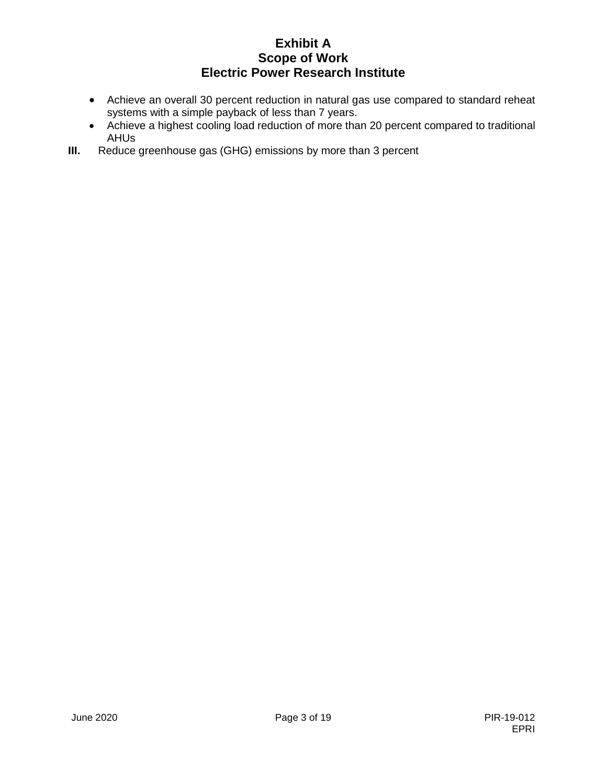- Achieve an overall 30 percent reduction in natural gas use compared to standard reheat systems with a simple payback of less than 7 years.
- Achieve a highest cooling load reduction of more than 20 percent compared to traditional AHUs
- **III.** Reduce greenhouse gas (GHG) emissions by more than 3 percent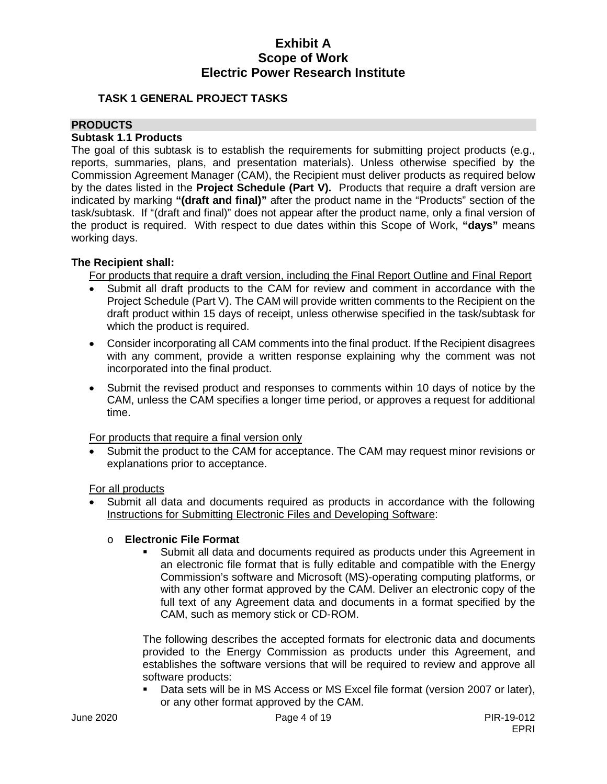### **TASK 1 GENERAL PROJECT TASKS**

### **PRODUCTS**

#### **Subtask 1.1 Products**

The goal of this subtask is to establish the requirements for submitting project products (e.g., reports, summaries, plans, and presentation materials). Unless otherwise specified by the Commission Agreement Manager (CAM), the Recipient must deliver products as required below by the dates listed in the **Project Schedule (Part V).** Products that require a draft version are indicated by marking **"(draft and final)"** after the product name in the "Products" section of the task/subtask. If "(draft and final)" does not appear after the product name, only a final version of the product is required. With respect to due dates within this Scope of Work, **"days"** means working days.

### **The Recipient shall:**

For products that require a draft version, including the Final Report Outline and Final Report

- Submit all draft products to the CAM for review and comment in accordance with the Project Schedule (Part V). The CAM will provide written comments to the Recipient on the draft product within 15 days of receipt, unless otherwise specified in the task/subtask for which the product is required.
- Consider incorporating all CAM comments into the final product. If the Recipient disagrees with any comment, provide a written response explaining why the comment was not incorporated into the final product.
- Submit the revised product and responses to comments within 10 days of notice by the CAM, unless the CAM specifies a longer time period, or approves a request for additional time.

For products that require a final version only

Submit the product to the CAM for acceptance. The CAM may request minor revisions or explanations prior to acceptance.

For all products

Submit all data and documents required as products in accordance with the following Instructions for Submitting Electronic Files and Developing Software:

### o **Electronic File Format**

 Submit all data and documents required as products under this Agreement in an electronic file format that is fully editable and compatible with the Energy Commission's software and Microsoft (MS)-operating computing platforms, or with any other format approved by the CAM. Deliver an electronic copy of the full text of any Agreement data and documents in a format specified by the CAM, such as memory stick or CD-ROM.

The following describes the accepted formats for electronic data and documents provided to the Energy Commission as products under this Agreement, and establishes the software versions that will be required to review and approve all software products:

 Data sets will be in MS Access or MS Excel file format (version 2007 or later), or any other format approved by the CAM.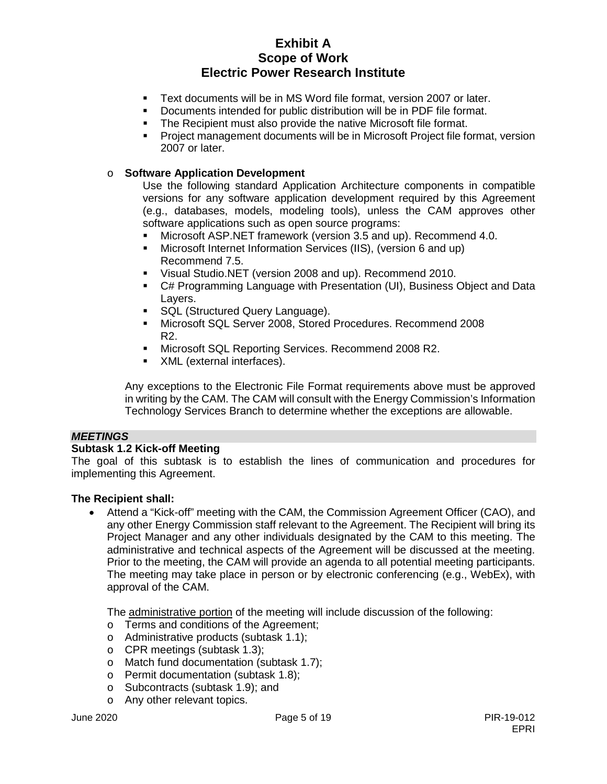- Text documents will be in MS Word file format, version 2007 or later.
- Documents intended for public distribution will be in PDF file format.
- **The Recipient must also provide the native Microsoft file format.**
- Project management documents will be in Microsoft Project file format, version 2007 or later.

## o **Software Application Development**

Use the following standard Application Architecture components in compatible versions for any software application development required by this Agreement (e.g., databases, models, modeling tools), unless the CAM approves other software applications such as open source programs:

- Microsoft ASP.NET framework (version 3.5 and up). Recommend 4.0.
- Microsoft Internet Information Services (IIS), (version 6 and up) Recommend 7.5.
- Visual Studio.NET (version 2008 and up). Recommend 2010.
- C# Programming Language with Presentation (UI), Business Object and Data Layers.
- **SQL (Structured Query Language).**
- Microsoft SQL Server 2008, Stored Procedures. Recommend 2008 R2.
- **Microsoft SQL Reporting Services. Recommend 2008 R2.**
- XML (external interfaces).

Any exceptions to the Electronic File Format requirements above must be approved in writing by the CAM. The CAM will consult with the Energy Commission's Information Technology Services Branch to determine whether the exceptions are allowable.

### *MEETINGS*

### **Subtask 1.2 Kick-off Meeting**

The goal of this subtask is to establish the lines of communication and procedures for implementing this Agreement.

### **The Recipient shall:**

• Attend a "Kick-off" meeting with the CAM, the Commission Agreement Officer (CAO), and any other Energy Commission staff relevant to the Agreement. The Recipient will bring its Project Manager and any other individuals designated by the CAM to this meeting. The administrative and technical aspects of the Agreement will be discussed at the meeting. Prior to the meeting, the CAM will provide an agenda to all potential meeting participants. The meeting may take place in person or by electronic conferencing (e.g., WebEx), with approval of the CAM.

The administrative portion of the meeting will include discussion of the following:

- o Terms and conditions of the Agreement;
- o Administrative products (subtask 1.1);
- o CPR meetings (subtask 1.3);
- o Match fund documentation (subtask 1.7);
- o Permit documentation (subtask 1.8);
- o Subcontracts (subtask 1.9); and
- o Any other relevant topics.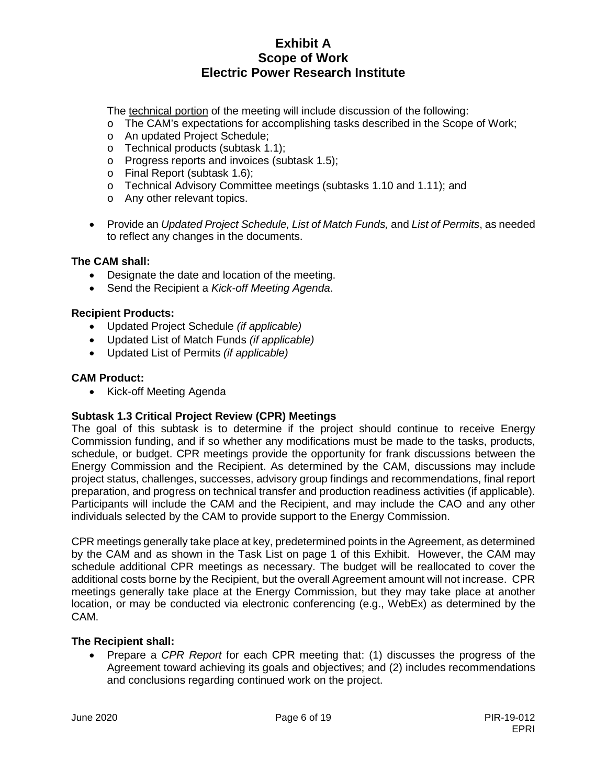The technical portion of the meeting will include discussion of the following:

- o The CAM's expectations for accomplishing tasks described in the Scope of Work;
- o An updated Project Schedule;
- o Technical products (subtask 1.1);
- o Progress reports and invoices (subtask 1.5);
- o Final Report (subtask 1.6);
- o Technical Advisory Committee meetings (subtasks 1.10 and 1.11); and
- o Any other relevant topics.
- Provide an *Updated Project Schedule, List of Match Funds,* and *List of Permits*, as needed to reflect any changes in the documents.

### **The CAM shall:**

- Designate the date and location of the meeting.
- Send the Recipient a *Kick-off Meeting Agenda*.

### **Recipient Products:**

- Updated Project Schedule *(if applicable)*
- Updated List of Match Funds *(if applicable)*
- Updated List of Permits *(if applicable)*

### **CAM Product:**

• Kick-off Meeting Agenda

### **Subtask 1.3 Critical Project Review (CPR) Meetings**

The goal of this subtask is to determine if the project should continue to receive Energy Commission funding, and if so whether any modifications must be made to the tasks, products, schedule, or budget. CPR meetings provide the opportunity for frank discussions between the Energy Commission and the Recipient. As determined by the CAM, discussions may include project status, challenges, successes, advisory group findings and recommendations, final report preparation, and progress on technical transfer and production readiness activities (if applicable). Participants will include the CAM and the Recipient, and may include the CAO and any other individuals selected by the CAM to provide support to the Energy Commission.

CPR meetings generally take place at key, predetermined points in the Agreement, as determined by the CAM and as shown in the Task List on page 1 of this Exhibit. However, the CAM may schedule additional CPR meetings as necessary. The budget will be reallocated to cover the additional costs borne by the Recipient, but the overall Agreement amount will not increase. CPR meetings generally take place at the Energy Commission, but they may take place at another location, or may be conducted via electronic conferencing (e.g., WebEx) as determined by the CAM.

### **The Recipient shall:**

• Prepare a *CPR Report* for each CPR meeting that: (1) discusses the progress of the Agreement toward achieving its goals and objectives; and (2) includes recommendations and conclusions regarding continued work on the project.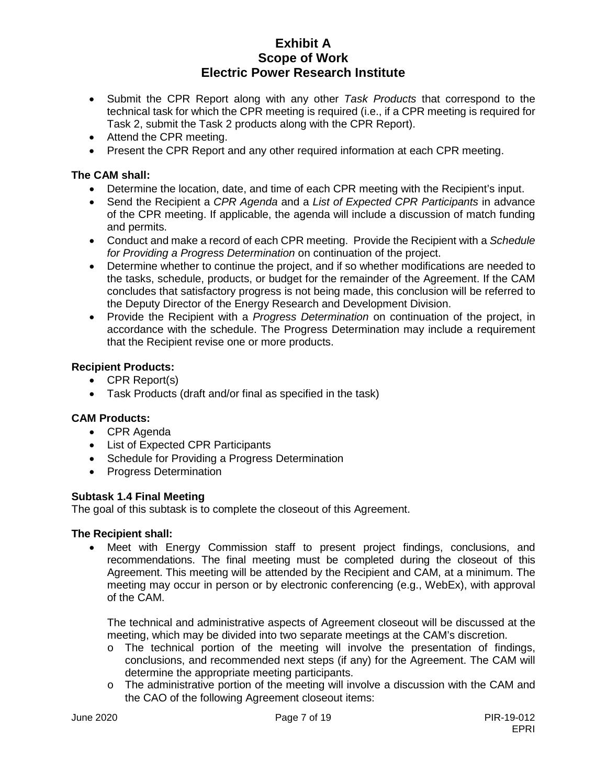- Submit the CPR Report along with any other *Task Products* that correspond to the technical task for which the CPR meeting is required (i.e., if a CPR meeting is required for Task 2, submit the Task 2 products along with the CPR Report).
- Attend the CPR meeting.
- Present the CPR Report and any other required information at each CPR meeting.

### **The CAM shall:**

- Determine the location, date, and time of each CPR meeting with the Recipient's input.
- Send the Recipient a *CPR Agenda* and a *List of Expected CPR Participants* in advance of the CPR meeting. If applicable, the agenda will include a discussion of match funding and permits.
- Conduct and make a record of each CPR meeting. Provide the Recipient with a *Schedule for Providing a Progress Determination* on continuation of the project.
- Determine whether to continue the project, and if so whether modifications are needed to the tasks, schedule, products, or budget for the remainder of the Agreement. If the CAM concludes that satisfactory progress is not being made, this conclusion will be referred to the Deputy Director of the Energy Research and Development Division.
- Provide the Recipient with a *Progress Determination* on continuation of the project, in accordance with the schedule. The Progress Determination may include a requirement that the Recipient revise one or more products.

### **Recipient Products:**

- CPR Report(s)
- Task Products (draft and/or final as specified in the task)

### **CAM Products:**

- CPR Agenda
- List of Expected CPR Participants
- Schedule for Providing a Progress Determination
- Progress Determination

#### **Subtask 1.4 Final Meeting**

The goal of this subtask is to complete the closeout of this Agreement.

#### **The Recipient shall:**

• Meet with Energy Commission staff to present project findings, conclusions, and recommendations. The final meeting must be completed during the closeout of this Agreement. This meeting will be attended by the Recipient and CAM, at a minimum. The meeting may occur in person or by electronic conferencing (e.g., WebEx), with approval of the CAM.

The technical and administrative aspects of Agreement closeout will be discussed at the meeting, which may be divided into two separate meetings at the CAM's discretion.

- o The technical portion of the meeting will involve the presentation of findings, conclusions, and recommended next steps (if any) for the Agreement. The CAM will determine the appropriate meeting participants.
- $\circ$  The administrative portion of the meeting will involve a discussion with the CAM and the CAO of the following Agreement closeout items: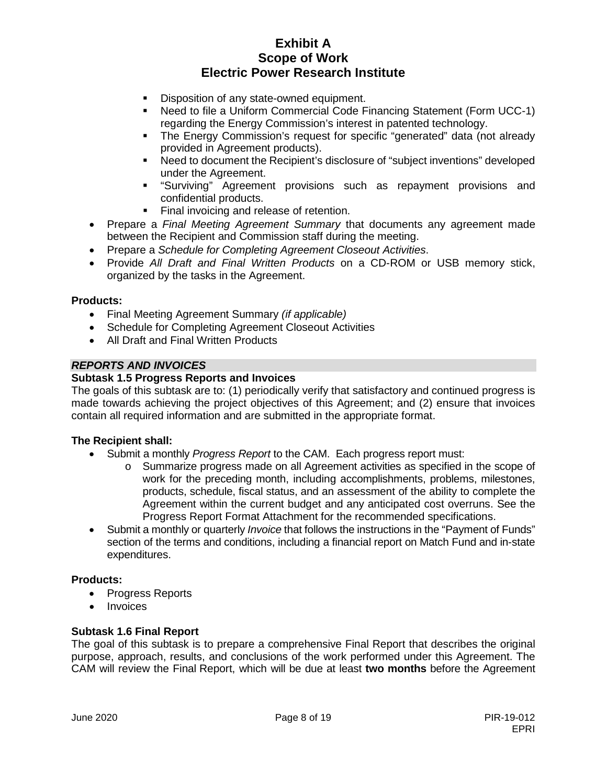- Disposition of any state-owned equipment.
- Need to file a Uniform Commercial Code Financing Statement (Form UCC-1) regarding the Energy Commission's interest in patented technology.
- The Energy Commission's request for specific "generated" data (not already provided in Agreement products).
- Need to document the Recipient's disclosure of "subject inventions" developed under the Agreement.
- "Surviving" Agreement provisions such as repayment provisions and confidential products.
- Final invoicing and release of retention.
- Prepare a *Final Meeting Agreement Summary* that documents any agreement made between the Recipient and Commission staff during the meeting.
- Prepare a *Schedule for Completing Agreement Closeout Activities*.
- Provide *All Draft and Final Written Products* on a CD-ROM or USB memory stick, organized by the tasks in the Agreement.

### **Products:**

- Final Meeting Agreement Summary *(if applicable)*
- Schedule for Completing Agreement Closeout Activities
- All Draft and Final Written Products

## *REPORTS AND INVOICES*

### **Subtask 1.5 Progress Reports and Invoices**

The goals of this subtask are to: (1) periodically verify that satisfactory and continued progress is made towards achieving the project objectives of this Agreement; and (2) ensure that invoices contain all required information and are submitted in the appropriate format.

### **The Recipient shall:**

- Submit a monthly *Progress Report* to the CAM. Each progress report must:
	- o Summarize progress made on all Agreement activities as specified in the scope of work for the preceding month, including accomplishments, problems, milestones, products, schedule, fiscal status, and an assessment of the ability to complete the Agreement within the current budget and any anticipated cost overruns. See the Progress Report Format Attachment for the recommended specifications.
- Submit a monthly or quarterly *Invoice* that follows the instructions in the "Payment of Funds" section of the terms and conditions, including a financial report on Match Fund and in-state expenditures.

### **Products:**

- Progress Reports
- Invoices

#### **Subtask 1.6 Final Report**

The goal of this subtask is to prepare a comprehensive Final Report that describes the original purpose, approach, results, and conclusions of the work performed under this Agreement. The CAM will review the Final Report, which will be due at least **two months** before the Agreement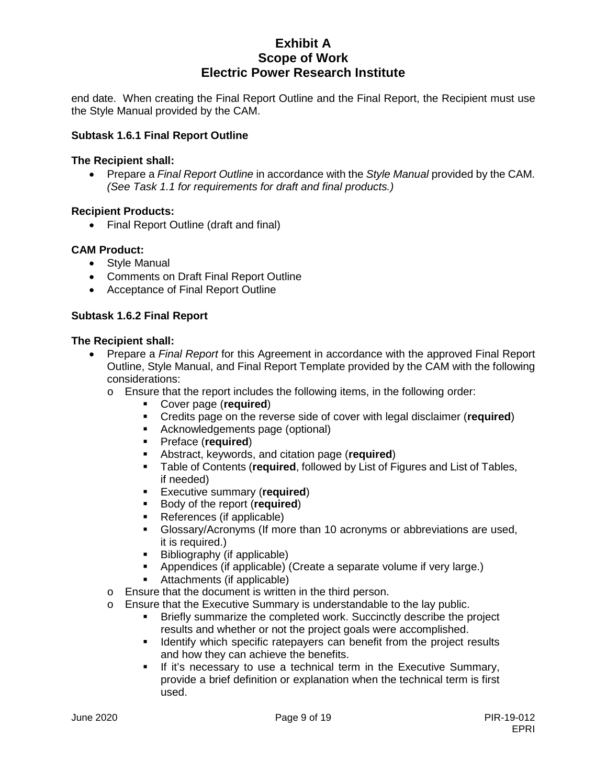end date. When creating the Final Report Outline and the Final Report, the Recipient must use the Style Manual provided by the CAM.

### **Subtask 1.6.1 Final Report Outline**

#### **The Recipient shall:**

• Prepare a *Final Report Outline* in accordance with the *Style Manual* provided by the CAM. *(See Task 1.1 for requirements for draft and final products.)*

### **Recipient Products:**

• Final Report Outline (draft and final)

### **CAM Product:**

- Style Manual
- Comments on Draft Final Report Outline
- Acceptance of Final Report Outline

### **Subtask 1.6.2 Final Report**

- Prepare a *Final Report* for this Agreement in accordance with the approved Final Report Outline, Style Manual, and Final Report Template provided by the CAM with the following considerations:
	- o Ensure that the report includes the following items, in the following order:
		- Cover page (**required**)
		- Credits page on the reverse side of cover with legal disclaimer (**required**)
		- **Acknowledgements page (optional)**
		- Preface (**required**)
		- Abstract, keywords, and citation page (**required**)
		- Table of Contents (**required**, followed by List of Figures and List of Tables, if needed)
		- Executive summary (**required**)
		- **Body of the report (required)**<br>**Boforonces** (if applicable)
		- References (if applicable)
		- Glossary/Acronyms (If more than 10 acronyms or abbreviations are used, it is required.)
		- Bibliography (if applicable)
		- Appendices (if applicable) (Create a separate volume if very large.)
		- Attachments (if applicable)
	- o Ensure that the document is written in the third person.
	- o Ensure that the Executive Summary is understandable to the lay public.
		- Briefly summarize the completed work. Succinctly describe the project results and whether or not the project goals were accomplished.
		- **If Identify which specific ratepayers can benefit from the project results** and how they can achieve the benefits.
		- **If it's necessary to use a technical term in the Executive Summary,** provide a brief definition or explanation when the technical term is first used.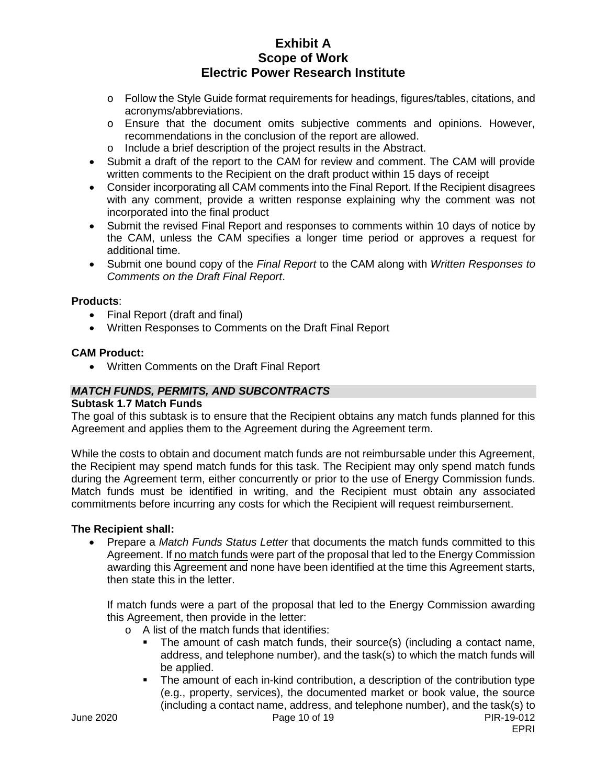- o Follow the Style Guide format requirements for headings, figures/tables, citations, and acronyms/abbreviations.
- o Ensure that the document omits subjective comments and opinions. However, recommendations in the conclusion of the report are allowed.
- o Include a brief description of the project results in the Abstract.
- Submit a draft of the report to the CAM for review and comment. The CAM will provide written comments to the Recipient on the draft product within 15 days of receipt
- Consider incorporating all CAM comments into the Final Report. If the Recipient disagrees with any comment, provide a written response explaining why the comment was not incorporated into the final product
- Submit the revised Final Report and responses to comments within 10 days of notice by the CAM, unless the CAM specifies a longer time period or approves a request for additional time.
- Submit one bound copy of the *Final Report* to the CAM along with *Written Responses to Comments on the Draft Final Report*.

### **Products**:

- Final Report (draft and final)
- Written Responses to Comments on the Draft Final Report

#### **CAM Product:**

• Written Comments on the Draft Final Report

#### *MATCH FUNDS, PERMITS, AND SUBCONTRACTS*

#### **Subtask 1.7 Match Funds**

The goal of this subtask is to ensure that the Recipient obtains any match funds planned for this Agreement and applies them to the Agreement during the Agreement term.

While the costs to obtain and document match funds are not reimbursable under this Agreement, the Recipient may spend match funds for this task. The Recipient may only spend match funds during the Agreement term, either concurrently or prior to the use of Energy Commission funds. Match funds must be identified in writing, and the Recipient must obtain any associated commitments before incurring any costs for which the Recipient will request reimbursement.

#### **The Recipient shall:**

• Prepare a *Match Funds Status Letter* that documents the match funds committed to this Agreement. If no match funds were part of the proposal that led to the Energy Commission awarding this Agreement and none have been identified at the time this Agreement starts, then state this in the letter.

If match funds were a part of the proposal that led to the Energy Commission awarding this Agreement, then provide in the letter:

- o A list of the match funds that identifies:
	- The amount of cash match funds, their source(s) (including a contact name, address, and telephone number), and the task(s) to which the match funds will be applied.
	- The amount of each in-kind contribution, a description of the contribution type (e.g., property, services), the documented market or book value, the source (including a contact name, address, and telephone number), and the task(s) to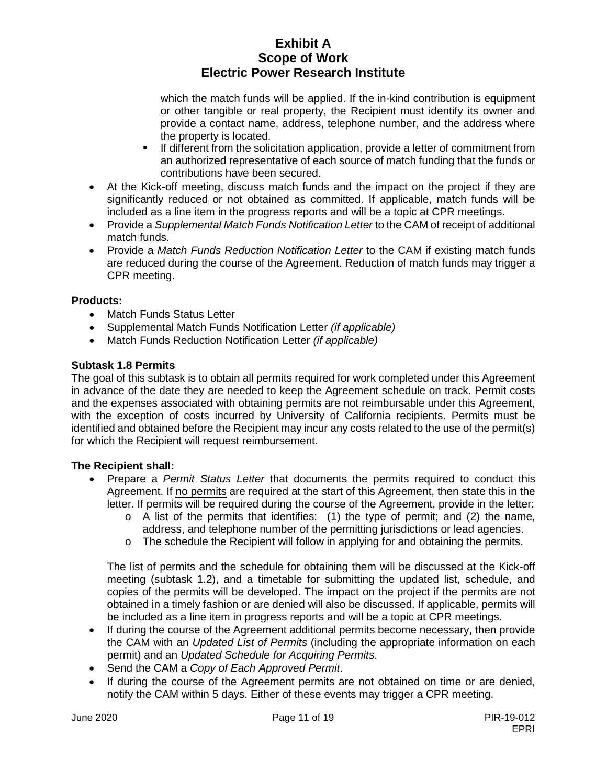which the match funds will be applied. If the in-kind contribution is equipment or other tangible or real property, the Recipient must identify its owner and provide a contact name, address, telephone number, and the address where the property is located.

- If different from the solicitation application, provide a letter of commitment from an authorized representative of each source of match funding that the funds or contributions have been secured.
- At the Kick-off meeting, discuss match funds and the impact on the project if they are significantly reduced or not obtained as committed. If applicable, match funds will be included as a line item in the progress reports and will be a topic at CPR meetings.
- Provide a *Supplemental Match Funds Notification Letter* to the CAM of receipt of additional match funds.
- Provide a *Match Funds Reduction Notification Letter* to the CAM if existing match funds are reduced during the course of the Agreement. Reduction of match funds may trigger a CPR meeting.

## **Products:**

- Match Funds Status Letter
- Supplemental Match Funds Notification Letter *(if applicable)*
- Match Funds Reduction Notification Letter *(if applicable)*

## **Subtask 1.8 Permits**

The goal of this subtask is to obtain all permits required for work completed under this Agreement in advance of the date they are needed to keep the Agreement schedule on track. Permit costs and the expenses associated with obtaining permits are not reimbursable under this Agreement, with the exception of costs incurred by University of California recipients. Permits must be identified and obtained before the Recipient may incur any costs related to the use of the permit(s) for which the Recipient will request reimbursement.

## **The Recipient shall:**

- Prepare a *Permit Status Letter* that documents the permits required to conduct this Agreement. If no permits are required at the start of this Agreement, then state this in the letter. If permits will be required during the course of the Agreement, provide in the letter:
	- $\circ$  A list of the permits that identifies: (1) the type of permit; and (2) the name, address, and telephone number of the permitting jurisdictions or lead agencies.
	- $\circ$  The schedule the Recipient will follow in applying for and obtaining the permits.

The list of permits and the schedule for obtaining them will be discussed at the Kick-off meeting (subtask 1.2), and a timetable for submitting the updated list, schedule, and copies of the permits will be developed. The impact on the project if the permits are not obtained in a timely fashion or are denied will also be discussed. If applicable, permits will be included as a line item in progress reports and will be a topic at CPR meetings.

- If during the course of the Agreement additional permits become necessary, then provide the CAM with an *Updated List of Permits* (including the appropriate information on each permit) and an *Updated Schedule for Acquiring Permits*.
- Send the CAM a *Copy of Each Approved Permit*.
- If during the course of the Agreement permits are not obtained on time or are denied, notify the CAM within 5 days. Either of these events may trigger a CPR meeting.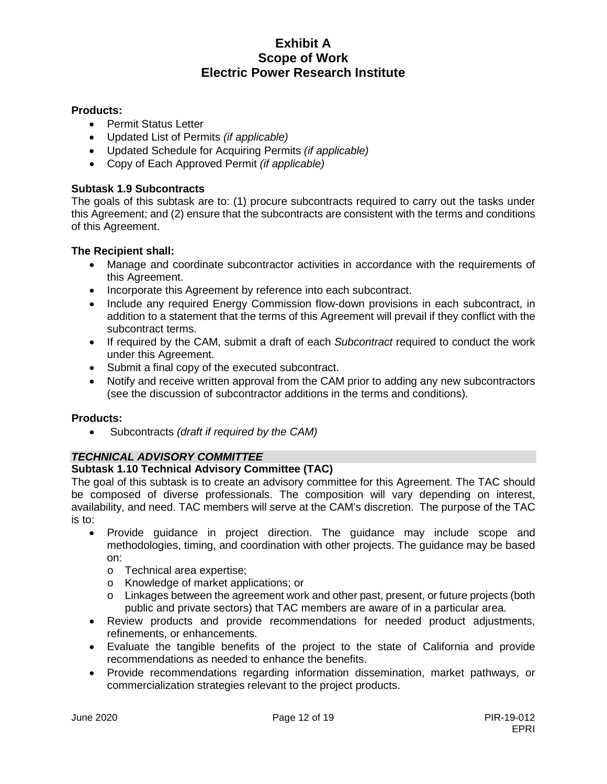### **Products:**

- Permit Status Letter
- Updated List of Permits *(if applicable)*
- Updated Schedule for Acquiring Permits *(if applicable)*
- Copy of Each Approved Permit *(if applicable)*

### **Subtask 1.9 Subcontracts**

The goals of this subtask are to: (1) procure subcontracts required to carry out the tasks under this Agreement; and (2) ensure that the subcontracts are consistent with the terms and conditions of this Agreement.

### **The Recipient shall:**

- Manage and coordinate subcontractor activities in accordance with the requirements of this Agreement.
- Incorporate this Agreement by reference into each subcontract.
- Include any required Energy Commission flow-down provisions in each subcontract, in addition to a statement that the terms of this Agreement will prevail if they conflict with the subcontract terms.
- If required by the CAM, submit a draft of each *Subcontract* required to conduct the work under this Agreement.
- Submit a final copy of the executed subcontract.
- Notify and receive written approval from the CAM prior to adding any new subcontractors (see the discussion of subcontractor additions in the terms and conditions).

### **Products:**

• Subcontracts *(draft if required by the CAM)*

### *TECHNICAL ADVISORY COMMITTEE*

### **Subtask 1.10 Technical Advisory Committee (TAC)**

The goal of this subtask is to create an advisory committee for this Agreement. The TAC should be composed of diverse professionals. The composition will vary depending on interest, availability, and need. TAC members will serve at the CAM's discretion. The purpose of the TAC is to:

- Provide guidance in project direction. The guidance may include scope and methodologies, timing, and coordination with other projects. The guidance may be based on:
	- o Technical area expertise;
	- o Knowledge of market applications; or
	- o Linkages between the agreement work and other past, present, or future projects (both public and private sectors) that TAC members are aware of in a particular area.
- Review products and provide recommendations for needed product adjustments, refinements, or enhancements.
- Evaluate the tangible benefits of the project to the state of California and provide recommendations as needed to enhance the benefits.
- Provide recommendations regarding information dissemination, market pathways, or commercialization strategies relevant to the project products.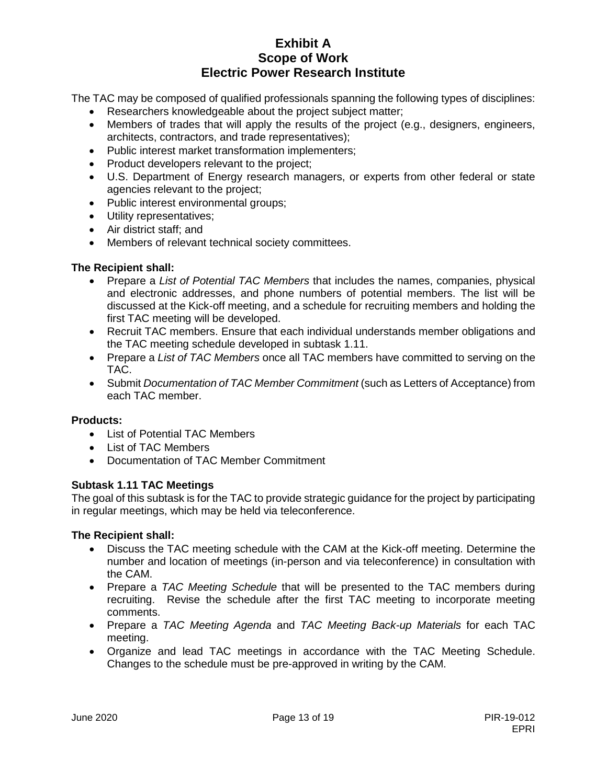The TAC may be composed of qualified professionals spanning the following types of disciplines:

- Researchers knowledgeable about the project subject matter;
- Members of trades that will apply the results of the project (e.g., designers, engineers, architects, contractors, and trade representatives);
- Public interest market transformation implementers;
- Product developers relevant to the project;
- U.S. Department of Energy research managers, or experts from other federal or state agencies relevant to the project;
- Public interest environmental groups;
- Utility representatives;
- Air district staff; and
- Members of relevant technical society committees.

### **The Recipient shall:**

- Prepare a *List of Potential TAC Members* that includes the names, companies, physical and electronic addresses, and phone numbers of potential members. The list will be discussed at the Kick-off meeting, and a schedule for recruiting members and holding the first TAC meeting will be developed.
- Recruit TAC members. Ensure that each individual understands member obligations and the TAC meeting schedule developed in subtask 1.11.
- Prepare a *List of TAC Members* once all TAC members have committed to serving on the TAC.
- Submit *Documentation of TAC Member Commitment* (such as Letters of Acceptance) from each TAC member.

### **Products:**

- List of Potential TAC Members
- List of TAC Members
- Documentation of TAC Member Commitment

### **Subtask 1.11 TAC Meetings**

The goal of this subtask is for the TAC to provide strategic guidance for the project by participating in regular meetings, which may be held via teleconference.

- Discuss the TAC meeting schedule with the CAM at the Kick-off meeting. Determine the number and location of meetings (in-person and via teleconference) in consultation with the CAM.
- Prepare a *TAC Meeting Schedule* that will be presented to the TAC members during recruiting. Revise the schedule after the first TAC meeting to incorporate meeting comments.
- Prepare a *TAC Meeting Agenda* and *TAC Meeting Back-up Materials* for each TAC meeting.
- Organize and lead TAC meetings in accordance with the TAC Meeting Schedule. Changes to the schedule must be pre-approved in writing by the CAM.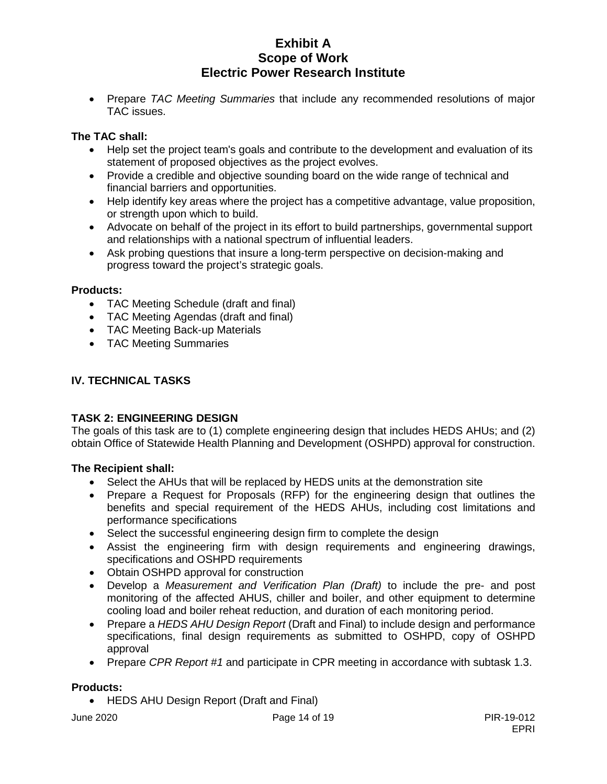• Prepare *TAC Meeting Summaries* that include any recommended resolutions of major TAC issues.

## **The TAC shall:**

- Help set the project team's goals and contribute to the development and evaluation of its statement of proposed objectives as the project evolves.
- Provide a credible and objective sounding board on the wide range of technical and financial barriers and opportunities.
- Help identify key areas where the project has a competitive advantage, value proposition, or strength upon which to build.
- Advocate on behalf of the project in its effort to build partnerships, governmental support and relationships with a national spectrum of influential leaders.
- Ask probing questions that insure a long-term perspective on decision-making and progress toward the project's strategic goals.

### **Products:**

- TAC Meeting Schedule (draft and final)
- TAC Meeting Agendas (draft and final)
- TAC Meeting Back-up Materials
- TAC Meeting Summaries

### **IV. TECHNICAL TASKS**

### **TASK 2: ENGINEERING DESIGN**

The goals of this task are to (1) complete engineering design that includes HEDS AHUs; and (2) obtain Office of Statewide Health Planning and Development (OSHPD) approval for construction.

### **The Recipient shall:**

- Select the AHUs that will be replaced by HEDS units at the demonstration site
- Prepare a Request for Proposals (RFP) for the engineering design that outlines the benefits and special requirement of the HEDS AHUs, including cost limitations and performance specifications
- Select the successful engineering design firm to complete the design
- Assist the engineering firm with design requirements and engineering drawings, specifications and OSHPD requirements
- Obtain OSHPD approval for construction
- Develop a *Measurement and Verification Plan (Draft)* to include the pre- and post monitoring of the affected AHUS, chiller and boiler, and other equipment to determine cooling load and boiler reheat reduction, and duration of each monitoring period.
- Prepare a *HEDS AHU Design Report* (Draft and Final) to include design and performance specifications, final design requirements as submitted to OSHPD, copy of OSHPD approval
- Prepare *CPR Report #1* and participate in CPR meeting in accordance with subtask 1.3.

#### **Products:**

• HEDS AHU Design Report (Draft and Final)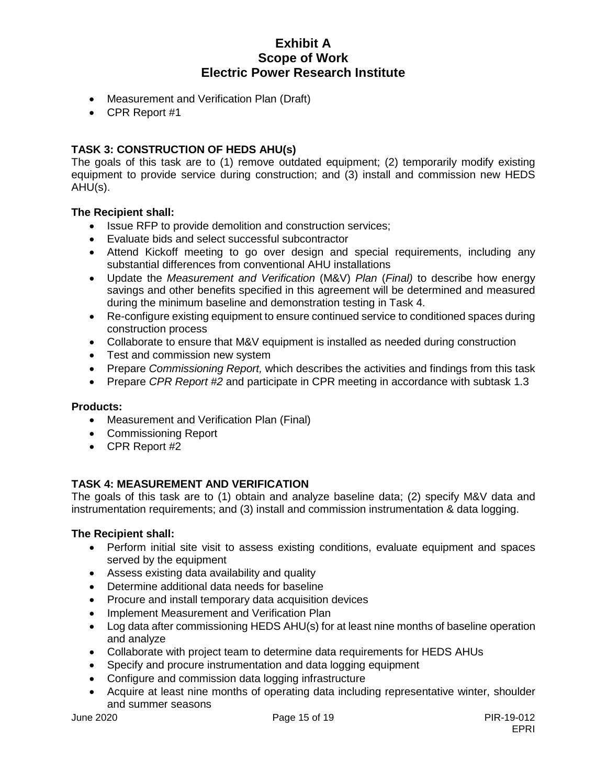- Measurement and Verification Plan (Draft)
- CPR Report #1

## **TASK 3: CONSTRUCTION OF HEDS AHU(s)**

The goals of this task are to (1) remove outdated equipment; (2) temporarily modify existing equipment to provide service during construction; and (3) install and commission new HEDS AHU(s).

### **The Recipient shall:**

- Issue RFP to provide demolition and construction services;
- Evaluate bids and select successful subcontractor
- Attend Kickoff meeting to go over design and special requirements, including any substantial differences from conventional AHU installations
- Update the *Measurement and Verification* (M&V) *Plan* (*Final)* to describe how energy savings and other benefits specified in this agreement will be determined and measured during the minimum baseline and demonstration testing in Task 4.
- Re-configure existing equipment to ensure continued service to conditioned spaces during construction process
- Collaborate to ensure that M&V equipment is installed as needed during construction
- Test and commission new system
- Prepare *Commissioning Report,* which describes the activities and findings from this task
- Prepare *CPR Report #2* and participate in CPR meeting in accordance with subtask 1.3

#### **Products:**

- Measurement and Verification Plan (Final)
- Commissioning Report
- CPR Report #2

### **TASK 4: MEASUREMENT AND VERIFICATION**

The goals of this task are to (1) obtain and analyze baseline data; (2) specify M&V data and instrumentation requirements; and (3) install and commission instrumentation & data logging.

- Perform initial site visit to assess existing conditions, evaluate equipment and spaces served by the equipment
- Assess existing data availability and quality
- Determine additional data needs for baseline
- Procure and install temporary data acquisition devices
- Implement Measurement and Verification Plan
- Log data after commissioning HEDS AHU(s) for at least nine months of baseline operation and analyze
- Collaborate with project team to determine data requirements for HEDS AHUs
- Specify and procure instrumentation and data logging equipment
- Configure and commission data logging infrastructure
- Acquire at least nine months of operating data including representative winter, shoulder and summer seasons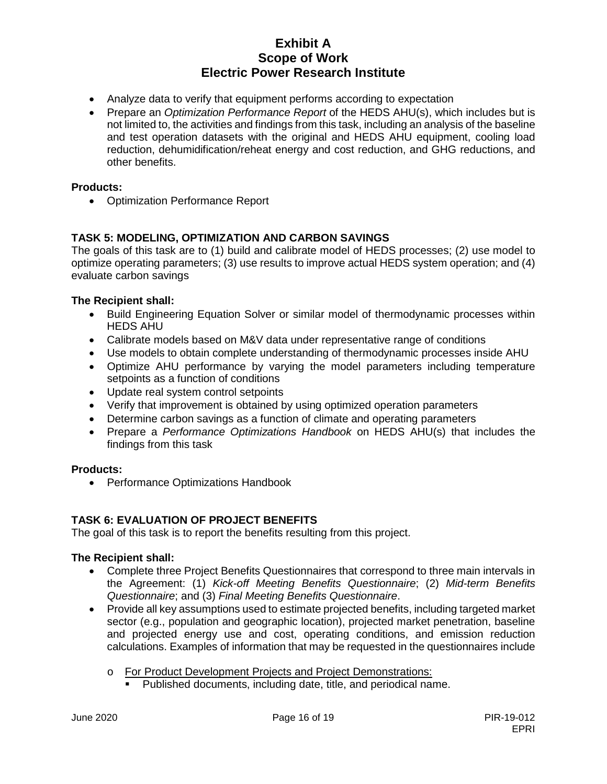- Analyze data to verify that equipment performs according to expectation
- Prepare an *Optimization Performance Report* of the HEDS AHU(s), which includes but is not limited to, the activities and findings from this task, including an analysis of the baseline and test operation datasets with the original and HEDS AHU equipment, cooling load reduction, dehumidification/reheat energy and cost reduction, and GHG reductions, and other benefits.

### **Products:**

• Optimization Performance Report

## **TASK 5: MODELING, OPTIMIZATION AND CARBON SAVINGS**

The goals of this task are to (1) build and calibrate model of HEDS processes; (2) use model to optimize operating parameters; (3) use results to improve actual HEDS system operation; and (4) evaluate carbon savings

### **The Recipient shall:**

- Build Engineering Equation Solver or similar model of thermodynamic processes within HEDS AHU
- Calibrate models based on M&V data under representative range of conditions
- Use models to obtain complete understanding of thermodynamic processes inside AHU
- Optimize AHU performance by varying the model parameters including temperature setpoints as a function of conditions
- Update real system control setpoints
- Verify that improvement is obtained by using optimized operation parameters
- Determine carbon savings as a function of climate and operating parameters
- Prepare a *Performance Optimizations Handbook* on HEDS AHU(s) that includes the findings from this task

### **Products:**

• Performance Optimizations Handbook

### **TASK 6: EVALUATION OF PROJECT BENEFITS**

The goal of this task is to report the benefits resulting from this project.

- Complete three Project Benefits Questionnaires that correspond to three main intervals in the Agreement: (1) *Kick-off Meeting Benefits Questionnaire*; (2) *Mid-term Benefits Questionnaire*; and (3) *Final Meeting Benefits Questionnaire*.
- Provide all key assumptions used to estimate projected benefits, including targeted market sector (e.g., population and geographic location), projected market penetration, baseline and projected energy use and cost, operating conditions, and emission reduction calculations. Examples of information that may be requested in the questionnaires include
	- o For Product Development Projects and Project Demonstrations:<br>Published documents, including date, title, and periodical nain
		- Published documents, including date, title, and periodical name.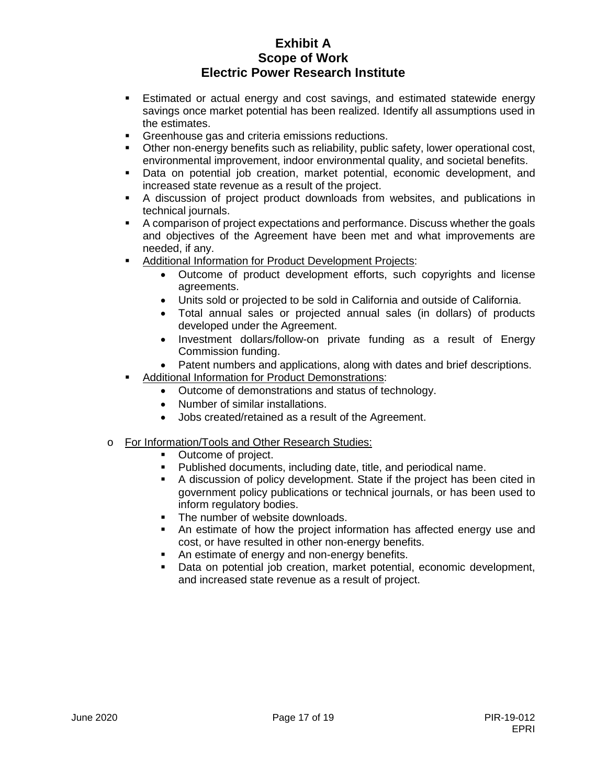- **Estimated or actual energy and cost savings, and estimated statewide energy** savings once market potential has been realized. Identify all assumptions used in the estimates.
- Greenhouse gas and criteria emissions reductions.
- Other non-energy benefits such as reliability, public safety, lower operational cost, environmental improvement, indoor environmental quality, and societal benefits.
- Data on potential job creation, market potential, economic development, and increased state revenue as a result of the project.
- A discussion of project product downloads from websites, and publications in technical journals.
- A comparison of project expectations and performance. Discuss whether the goals and objectives of the Agreement have been met and what improvements are needed, if any.
- Additional Information for Product Development Projects:
	- Outcome of product development efforts, such copyrights and license agreements.
	- Units sold or projected to be sold in California and outside of California.
	- Total annual sales or projected annual sales (in dollars) of products developed under the Agreement.
	- Investment dollars/follow-on private funding as a result of Energy Commission funding.
	- Patent numbers and applications, along with dates and brief descriptions.
- Additional Information for Product Demonstrations:
	- Outcome of demonstrations and status of technology.
	- Number of similar installations.
	- Jobs created/retained as a result of the Agreement.
- o For Information/Tools and Other Research Studies:
	- Outcome of project.
	- Published documents, including date, title, and periodical name.
	- A discussion of policy development. State if the project has been cited in government policy publications or technical journals, or has been used to inform regulatory bodies.
	- The number of website downloads.
	- An estimate of how the project information has affected energy use and cost, or have resulted in other non-energy benefits.
	- An estimate of energy and non-energy benefits.
	- Data on potential job creation, market potential, economic development, and increased state revenue as a result of project.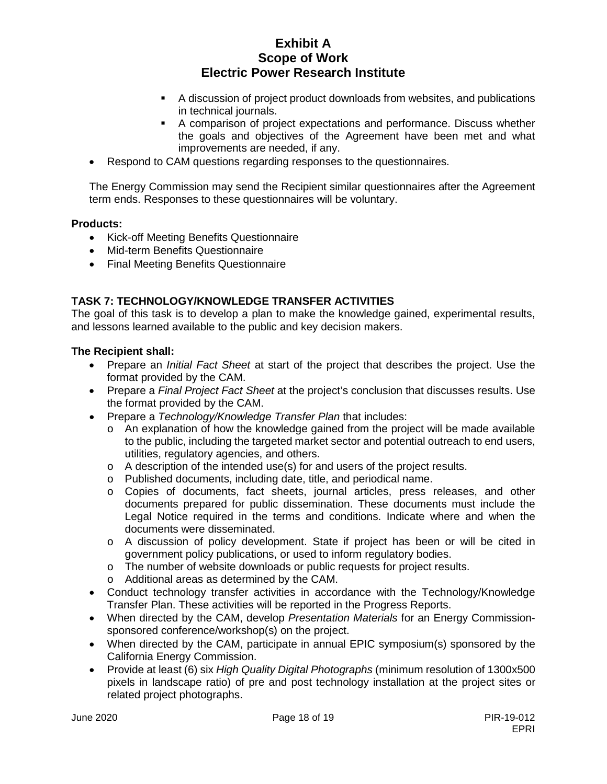- A discussion of project product downloads from websites, and publications in technical journals.
- A comparison of project expectations and performance. Discuss whether the goals and objectives of the Agreement have been met and what improvements are needed, if any.
- Respond to CAM questions regarding responses to the questionnaires.

The Energy Commission may send the Recipient similar questionnaires after the Agreement term ends. Responses to these questionnaires will be voluntary.

### **Products:**

- Kick-off Meeting Benefits Questionnaire
- Mid-term Benefits Questionnaire
- Final Meeting Benefits Questionnaire

## **TASK 7: TECHNOLOGY/KNOWLEDGE TRANSFER ACTIVITIES**

The goal of this task is to develop a plan to make the knowledge gained, experimental results, and lessons learned available to the public and key decision makers.

- Prepare an *Initial Fact Sheet* at start of the project that describes the project. Use the format provided by the CAM.
- Prepare a *Final Project Fact Sheet* at the project's conclusion that discusses results. Use the format provided by the CAM.
- Prepare a *Technology/Knowledge Transfer Plan* that includes:
	- $\circ$  An explanation of how the knowledge gained from the project will be made available to the public, including the targeted market sector and potential outreach to end users, utilities, regulatory agencies, and others.
	- o A description of the intended use(s) for and users of the project results.
	- o Published documents, including date, title, and periodical name.
	- o Copies of documents, fact sheets, journal articles, press releases, and other documents prepared for public dissemination. These documents must include the Legal Notice required in the terms and conditions. Indicate where and when the documents were disseminated.
	- o A discussion of policy development. State if project has been or will be cited in government policy publications, or used to inform regulatory bodies.
	- o The number of website downloads or public requests for project results.
	- o Additional areas as determined by the CAM.
- Conduct technology transfer activities in accordance with the Technology/Knowledge Transfer Plan. These activities will be reported in the Progress Reports.
- When directed by the CAM, develop *Presentation Materials* for an Energy Commissionsponsored conference/workshop(s) on the project.
- When directed by the CAM, participate in annual EPIC symposium(s) sponsored by the California Energy Commission.
- Provide at least (6) six *High Quality Digital Photographs* (minimum resolution of 1300x500 pixels in landscape ratio) of pre and post technology installation at the project sites or related project photographs.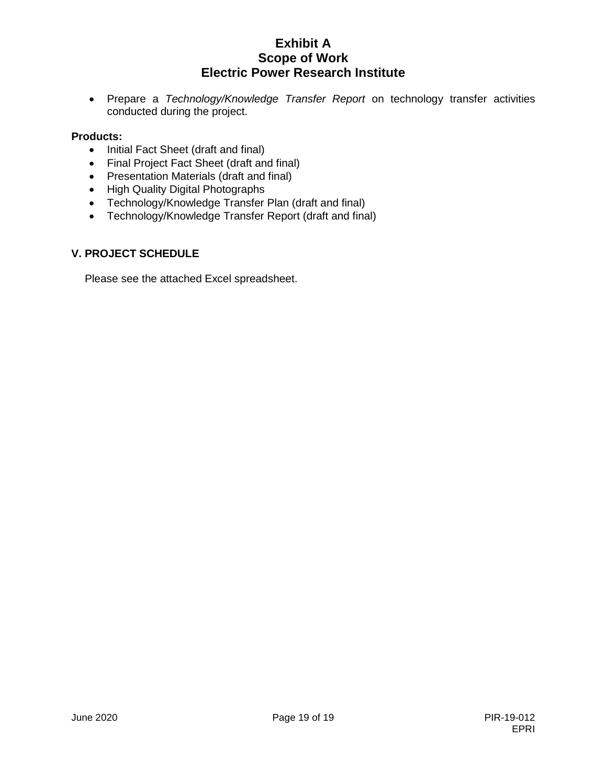• Prepare a *Technology/Knowledge Transfer Report* on technology transfer activities conducted during the project.

### **Products:**

- Initial Fact Sheet (draft and final)
- Final Project Fact Sheet (draft and final)
- Presentation Materials (draft and final)
- High Quality Digital Photographs
- Technology/Knowledge Transfer Plan (draft and final)
- Technology/Knowledge Transfer Report (draft and final)

### **V. PROJECT SCHEDULE**

Please see the attached Excel spreadsheet.